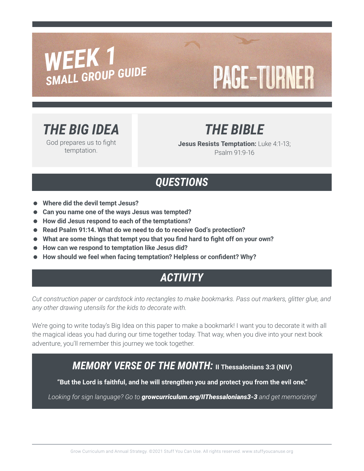#### *WEEK 1 SMALL GROUP GUIDE WEEK 1 SMALL GROUP GUIDE*

# **PAGE-TURNER**

*THE BIG IDEA*

God prepares us to fight temptation.

## *THE BIBLE*

**Jesus Resists Temptation:** Luke 4:1-13; Psalm 91:9-16

#### *QUESTIONS*

- **Where did the devil tempt Jesus?**
- **Can you name one of the ways Jesus was tempted?**
- **How did Jesus respond to each of the temptations?**
- **Read Psalm 91:14. What do we need to do to receive God's protection?**
- **What are some things that tempt you that you find hard to fight off on your own?**
- **How can we respond to temptation like Jesus did?**
- **How should we feel when facing temptation? Helpless or confident? Why?**

### *ACTIVITY*

*Cut construction paper or cardstock into rectangles to make bookmarks. Pass out markers, glitter glue, and any other drawing utensils for the kids to decorate with.*

We're going to write today's Big Idea on this paper to make a bookmark! I want you to decorate it with all the magical ideas you had during our time together today. That way, when you dive into your next book adventure, you'll remember this journey we took together.

#### *MEMORY VERSE OF THE MONTH:* **II Thessalonians 3:3 (NIV)**

**"But the Lord is faithful, and he will strengthen you and protect you from the evil one."**

*Looking for sign language? Go to [growcurriculum.org/IIThessalonians3-3](http://growcurriculum.org/IIThessalonians3-3) and get memorizing!*